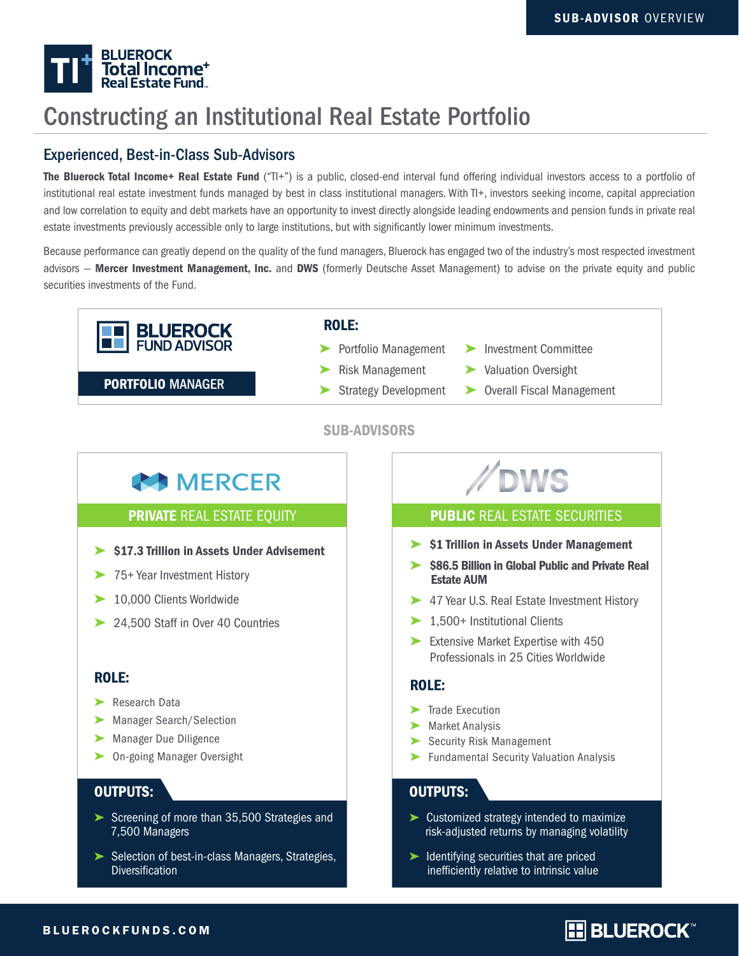

# Constructing an Institutional Real Estate Portfolio

### Experienced, Best-in-Class Sub-Advisors

The Bluerock Total Income+ Real Estate Fund ("TI+") is a public, closed-end interval fund offering individual investors access to a portfolio of institutional real estate investment funds managed by best in class institutional managers. With TI+, investors seeking income, capital appreciation and low correlation to equity and debt markets have an opportunity to invest directly alongside leading endowments and pension funds in private real estate investments previously accessible only to large institutions, but with significantly lower minimum investments.

Because performance can greatly depend on the quality of the fund managers, Bluerock has engaged two of the industry's most respected investment advisors - Mercer Investment Management, Inc. and DWS (formerly Deutsche Asset Management) to advise on the private equity and public securities investments of the Fund.



## **HE BLUEROCK**